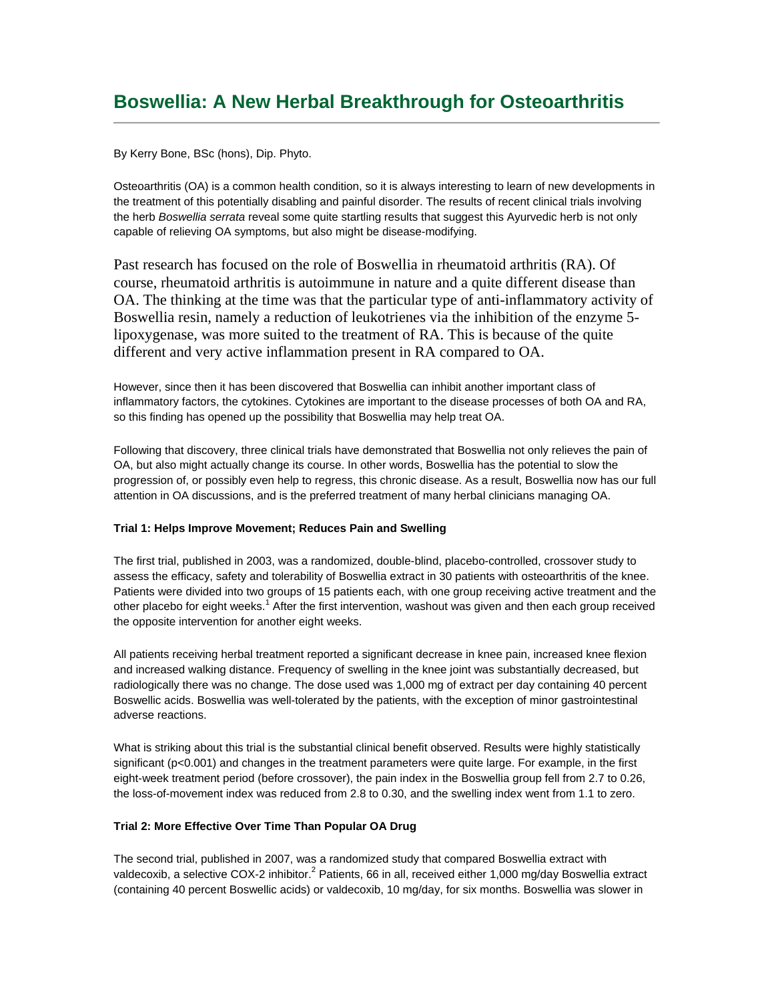# **Boswellia: A New Herbal Breakthrough for Osteoarthritis**

By Kerry Bone, BSc (hons), Dip. Phyto.

Osteoarthritis (OA) is a common health condition, so it is always interesting to learn of new developments in the treatment of this potentially disabling and painful disorder. The results of recent clinical trials involving the herb *Boswellia serrata* reveal some quite startling results that suggest this Ayurvedic herb is not only capable of relieving OA symptoms, but also might be disease-modifying.

Past research has focused on the role of Boswellia in rheumatoid arthritis (RA). Of course, rheumatoid arthritis is autoimmune in nature and a quite different disease than OA. The thinking at the time was that the particular type of anti-inflammatory activity of Boswellia resin, namely a reduction of leukotrienes via the inhibition of the enzyme 5 lipoxygenase, was more suited to the treatment of RA. This is because of the quite different and very active inflammation present in RA compared to OA.

However, since then it has been discovered that Boswellia can inhibit another important class of inflammatory factors, the cytokines. Cytokines are important to the disease processes of both OA and RA, so this finding has opened up the possibility that Boswellia may help treat OA.

Following that discovery, three clinical trials have demonstrated that Boswellia not only relieves the pain of OA, but also might actually change its course. In other words, Boswellia has the potential to slow the progression of, or possibly even help to regress, this chronic disease. As a result, Boswellia now has our full attention in OA discussions, and is the preferred treatment of many herbal clinicians managing OA.

## **Trial 1: Helps Improve Movement; Reduces Pain and Swelling**

The first trial, published in 2003, was a randomized, double-blind, placebo-controlled, crossover study to assess the efficacy, safety and tolerability of Boswellia extract in 30 patients with osteoarthritis of the knee. Patients were divided into two groups of 15 patients each, with one group receiving active treatment and the other placebo for eight weeks.<sup>1</sup> After the first intervention, washout was given and then each group received the opposite intervention for another eight weeks.

All patients receiving herbal treatment reported a significant decrease in knee pain, increased knee flexion and increased walking distance. Frequency of swelling in the knee joint was substantially decreased, but radiologically there was no change. The dose used was 1,000 mg of extract per day containing 40 percent Boswellic acids. Boswellia was well-tolerated by the patients, with the exception of minor gastrointestinal adverse reactions.

What is striking about this trial is the substantial clinical benefit observed. Results were highly statistically significant (p<0.001) and changes in the treatment parameters were quite large. For example, in the first eight-week treatment period (before crossover), the pain index in the Boswellia group fell from 2.7 to 0.26, the loss-of-movement index was reduced from 2.8 to 0.30, and the swelling index went from 1.1 to zero.

#### **Trial 2: More Effective Over Time Than Popular OA Drug**

The second trial, published in 2007, was a randomized study that compared Boswellia extract with valdecoxib, a selective COX-2 inhibitor.<sup>2</sup> Patients, 66 in all, received either 1,000 mg/day Boswellia extract (containing 40 percent Boswellic acids) or valdecoxib, 10 mg/day, for six months. Boswellia was slower in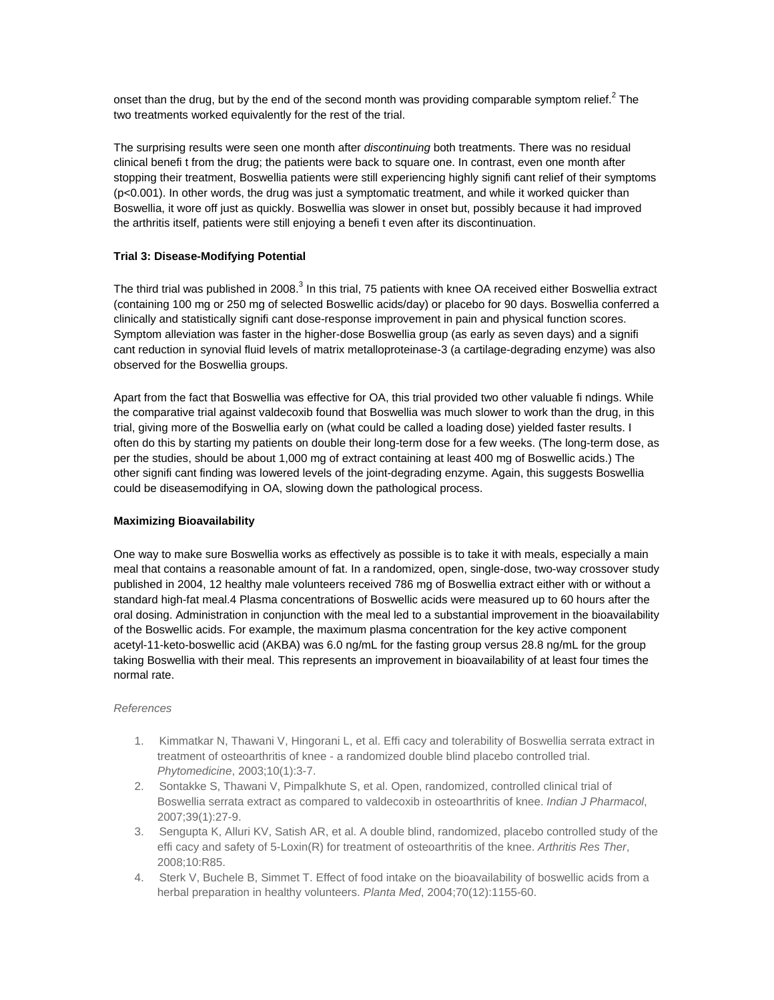onset than the drug, but by the end of the second month was providing comparable symptom relief.<sup>2</sup> The two treatments worked equivalently for the rest of the trial.

The surprising results were seen one month after *discontinuing* both treatments. There was no residual clinical benefi t from the drug; the patients were back to square one. In contrast, even one month after stopping their treatment, Boswellia patients were still experiencing highly signifi cant relief of their symptoms (p<0.001). In other words, the drug was just a symptomatic treatment, and while it worked quicker than Boswellia, it wore off just as quickly. Boswellia was slower in onset but, possibly because it had improved the arthritis itself, patients were still enjoying a benefi t even after its discontinuation.

## **Trial 3: Disease-Modifying Potential**

The third trial was published in 2008.<sup>3</sup> In this trial, 75 patients with knee OA received either Boswellia extract (containing 100 mg or 250 mg of selected Boswellic acids/day) or placebo for 90 days. Boswellia conferred a clinically and statistically signifi cant dose-response improvement in pain and physical function scores. Symptom alleviation was faster in the higher-dose Boswellia group (as early as seven days) and a signifi cant reduction in synovial fluid levels of matrix metalloproteinase-3 (a cartilage-degrading enzyme) was also observed for the Boswellia groups.

Apart from the fact that Boswellia was effective for OA, this trial provided two other valuable fi ndings. While the comparative trial against valdecoxib found that Boswellia was much slower to work than the drug, in this trial, giving more of the Boswellia early on (what could be called a loading dose) yielded faster results. I often do this by starting my patients on double their long-term dose for a few weeks. (The long-term dose, as per the studies, should be about 1,000 mg of extract containing at least 400 mg of Boswellic acids.) The other signifi cant finding was lowered levels of the joint-degrading enzyme. Again, this suggests Boswellia could be diseasemodifying in OA, slowing down the pathological process.

#### **Maximizing Bioavailability**

One way to make sure Boswellia works as effectively as possible is to take it with meals, especially a main meal that contains a reasonable amount of fat. In a randomized, open, single-dose, two-way crossover study published in 2004, 12 healthy male volunteers received 786 mg of Boswellia extract either with or without a standard high-fat meal.4 Plasma concentrations of Boswellic acids were measured up to 60 hours after the oral dosing. Administration in conjunction with the meal led to a substantial improvement in the bioavailability of the Boswellic acids. For example, the maximum plasma concentration for the key active component acetyl-11-keto-boswellic acid (AKBA) was 6.0 ng/mL for the fasting group versus 28.8 ng/mL for the group taking Boswellia with their meal. This represents an improvement in bioavailability of at least four times the normal rate.

### *References*

- 1. Kimmatkar N, Thawani V, Hingorani L, et al. Effi cacy and tolerability of Boswellia serrata extract in treatment of osteoarthritis of knee - a randomized double blind placebo controlled trial. *Phytomedicine*, 2003;10(1):3-7.
- 2. Sontakke S, Thawani V, Pimpalkhute S, et al. Open, randomized, controlled clinical trial of Boswellia serrata extract as compared to valdecoxib in osteoarthritis of knee. *Indian J Pharmacol*, 2007;39(1):27-9.
- 3. Sengupta K, Alluri KV, Satish AR, et al. A double blind, randomized, placebo controlled study of the effi cacy and safety of 5-Loxin(R) for treatment of osteoarthritis of the knee. *Arthritis Res Ther*, 2008;10:R85.
- 4. Sterk V, Buchele B, Simmet T. Effect of food intake on the bioavailability of boswellic acids from a herbal preparation in healthy volunteers. *Planta Med*, 2004;70(12):1155-60.